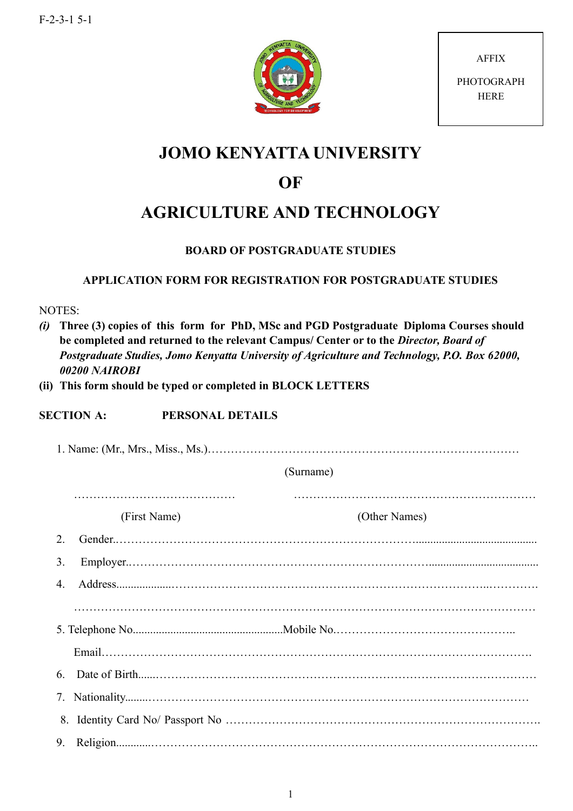

AFFIX **PHOTOGRAPH** HERE

## **JOMO KENYATTA UNIVERSITY**

## **OF**

# **AGRICULTURE AND TECHNOLOGY**

## **BOARD OF POSTGRADUATE STUDIES**

### **APPLICATION FORM FOR REGISTRATION FOR POSTGRADUATE STUDIES**

NOTES:

*(i)* **Three (3) copies of this form for PhD, MSc and PGD Postgraduate Diploma Courses should be completed and returned to the relevant Campus/ Center or to the** *Director, Board of Postgraduate Studies, Jomo Kenyatta University of Agriculture and Technology, P.O. Box 62000, 00200 NAIROBI*

**(ii) This form should be typed or completed in BLOCK LETTERS** 

#### **SECTION A: PERSONAL DETAILS**

|                | (Surname)    |               |  |  |
|----------------|--------------|---------------|--|--|
|                | (First Name) | (Other Names) |  |  |
| 2              |              |               |  |  |
| 3.             |              |               |  |  |
| $\overline{4}$ |              |               |  |  |
|                |              |               |  |  |
|                |              |               |  |  |
|                |              |               |  |  |
|                | 6            |               |  |  |
|                |              |               |  |  |
|                |              |               |  |  |
|                | 9.           |               |  |  |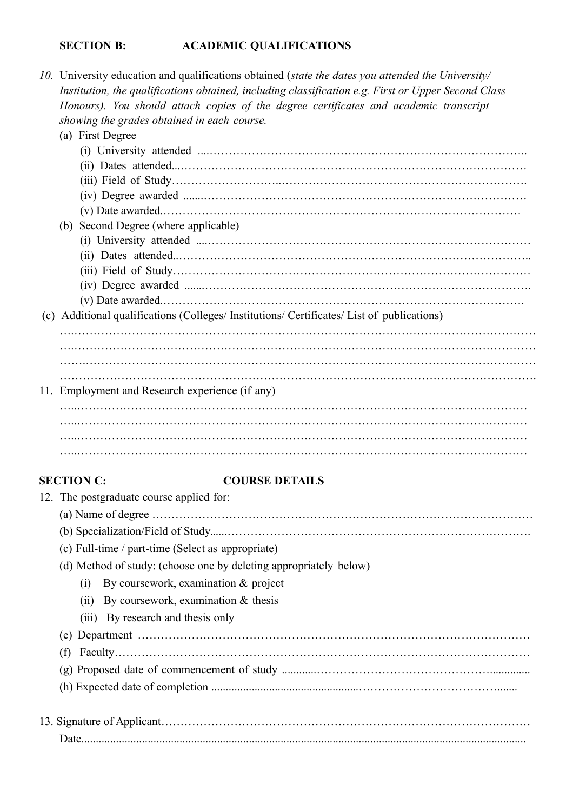#### **SECTION B: ACADEMIC QUALIFICATIONS**

*10.* University education and qualifications obtained (*state the dates you attended the University/ Institution, the qualifications obtained, including classification e.g. First or Upper Second Class Honours). You should attach copies of the degree certificates and academic transcript showing the grades obtained in each course.*

#### (a) First Degree (i) University attended ....……………………………………………………………………….. (ii) Dates attended...……………………………………………………………………………… (iii) Field of Study………………………..………………………………………………………. (iv) Degree awarded .......………………………………………………………………………… (v) Date awarded.………………………………………………………………………………… (b) Second Degree (where applicable) (i) University attended ....………………………………………………………………………… (ii) Dates attended..……………………………………………………………………………….. (iii) Field of Study………………………………………………………………………………… (iv) Degree awarded .......…………………………………………………………………………. (v) Date awarded.…………………………………………………………………………………. (c) Additional qualifications (Colleges/ Institutions/ Certificates/ List of publications) ….………………………………………………………………………………………………………… ….…………………………………………………………………………………………………………

 $\mathcal{L}^{\text{max}}_{\text{max}}$ 11. Employment and Research experience (if any)

…..……………………………………………………………………………………………………… …..………………………………………………………………………………………………………

…….………………………………………………………………………………………………………

#### **SECTION C: COURSE DETAILS**

|  | 12. The postgraduate course applied for:                          |
|--|-------------------------------------------------------------------|
|  |                                                                   |
|  |                                                                   |
|  | (c) Full-time / part-time (Select as appropriate)                 |
|  | (d) Method of study: (choose one by deleting appropriately below) |
|  | By coursework, examination $\&$ project<br>(1)                    |
|  | (ii) By coursework, examination $\&$ thesis                       |
|  | (iii) By research and thesis only                                 |
|  |                                                                   |
|  | (f)                                                               |
|  |                                                                   |
|  |                                                                   |
|  |                                                                   |
|  |                                                                   |
|  |                                                                   |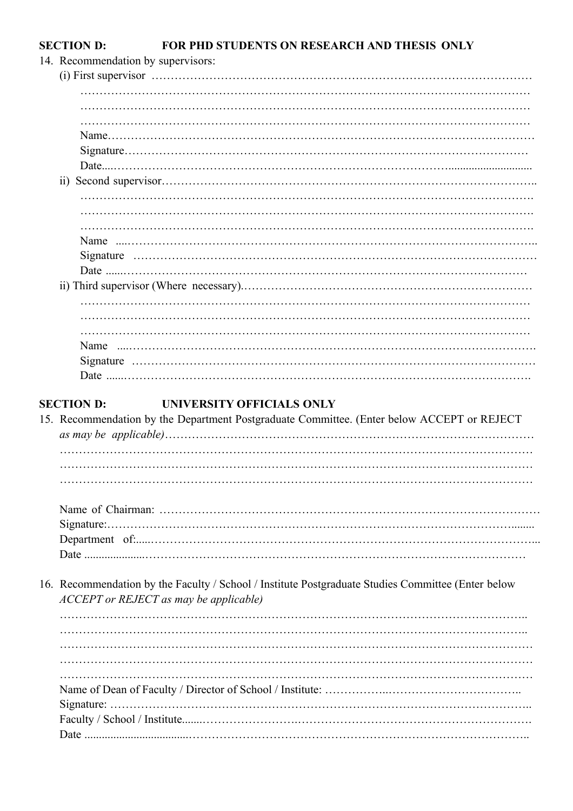#### FOR PHD STUDENTS ON RESEARCH AND THESIS ONLY **SECTION D:**

|  | 14. Recommendation by supervisors:                                                                                                           |  |  |
|--|----------------------------------------------------------------------------------------------------------------------------------------------|--|--|
|  |                                                                                                                                              |  |  |
|  |                                                                                                                                              |  |  |
|  |                                                                                                                                              |  |  |
|  |                                                                                                                                              |  |  |
|  |                                                                                                                                              |  |  |
|  |                                                                                                                                              |  |  |
|  |                                                                                                                                              |  |  |
|  |                                                                                                                                              |  |  |
|  |                                                                                                                                              |  |  |
|  |                                                                                                                                              |  |  |
|  |                                                                                                                                              |  |  |
|  |                                                                                                                                              |  |  |
|  |                                                                                                                                              |  |  |
|  |                                                                                                                                              |  |  |
|  |                                                                                                                                              |  |  |
|  |                                                                                                                                              |  |  |
|  |                                                                                                                                              |  |  |
|  |                                                                                                                                              |  |  |
|  | Name                                                                                                                                         |  |  |
|  |                                                                                                                                              |  |  |
|  |                                                                                                                                              |  |  |
|  |                                                                                                                                              |  |  |
|  | <b>SECTION D:</b><br>UNIVERSITY OFFICIALS ONLY<br>15. Recommendation by the Department Postgraduate Committee. (Enter below ACCEPT or REJECT |  |  |
|  |                                                                                                                                              |  |  |
|  |                                                                                                                                              |  |  |
|  |                                                                                                                                              |  |  |
|  |                                                                                                                                              |  |  |
|  |                                                                                                                                              |  |  |
|  |                                                                                                                                              |  |  |
|  |                                                                                                                                              |  |  |
|  |                                                                                                                                              |  |  |
|  |                                                                                                                                              |  |  |
|  | 16. Recommendation by the Faculty / School / Institute Postgraduate Studies Committee (Enter below<br>ACCEPT or REJECT as may be applicable) |  |  |
|  |                                                                                                                                              |  |  |
|  |                                                                                                                                              |  |  |
|  |                                                                                                                                              |  |  |
|  |                                                                                                                                              |  |  |
|  |                                                                                                                                              |  |  |
|  |                                                                                                                                              |  |  |
|  |                                                                                                                                              |  |  |